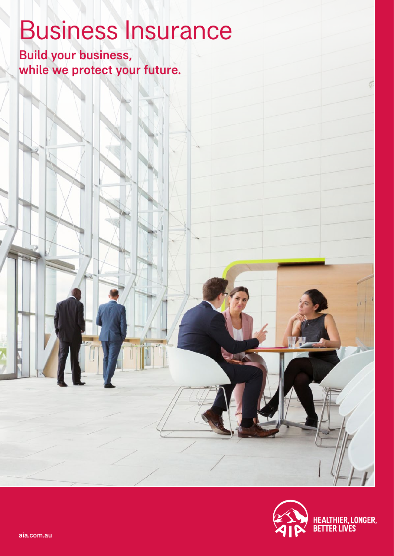# Business Insurance

Build your business, while we protect your future.



G

aia.com.au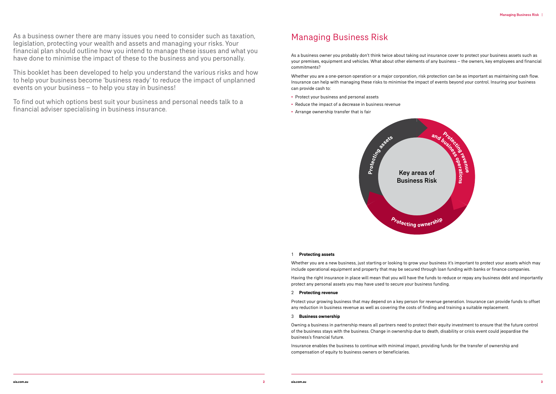As a business owner there are many issues you need to consider such as taxation, legislation, protecting your wealth and assets and managing your risks. Your financial plan should outline how you intend to manage these issues and what you have done to minimise the impact of these to the business and you personally.

This booklet has been developed to help you understand the various risks and how to help your business become 'business ready' to reduce the impact of unplanned events on your business – to help you stay in business!

To find out which options best suit your business and personal needs talk to a financial adviser specialising in business insurance.

## Managing Business Risk

As a business owner you probably don't think twice about taking out insurance cover to protect your business assets such as your premises, equipment and vehicles. What about other elements of any business – the owners, key employees and financial commitments?

Whether you are a one-person operation or a major corporation, risk protection can be as important as maintaining cash flow. Insurance can help with managing these risks to minimise the impact of events beyond your control. Insuring your business can provide cash to:

- Protect your business and personal assets
- Reduce the impact of a decrease in business revenue
- Arrange ownership transfer that is fair



#### 1 **Protecting assets**

Whether you are a new business, just starting or looking to grow your business it's important to protect your assets which may include operational equipment and property that may be secured through loan funding with banks or finance companies.

Having the right insurance in place will mean that you will have the funds to reduce or repay any business debt and importantly protect any personal assets you may have used to secure your business funding.

#### 2 **Protecting revenue**

Protect your growing business that may depend on a key person for revenue generation. Insurance can provide funds to offset any reduction in business revenue as well as covering the costs of finding and training a suitable replacement.

#### 3 **Business ownership**

Owning a business in partnership means all partners need to protect their equity investment to ensure that the future control of the business stays with the business. Change in ownership due to death, disability or crisis event could jeopardise the business's financial future.

Insurance enables the business to continue with minimal impact, providing funds for the transfer of ownership and compensation of equity to business owners or beneficiaries.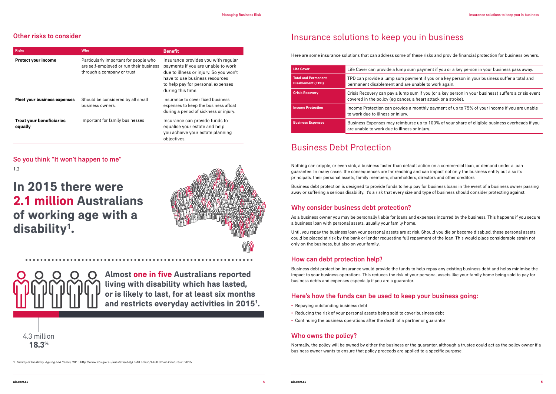#### Other risks to consider

| <b>Risks</b>                               | <b>Who</b>                                                                                                     | <b>Benefit</b>                                                                                                                                                                                                  |
|--------------------------------------------|----------------------------------------------------------------------------------------------------------------|-----------------------------------------------------------------------------------------------------------------------------------------------------------------------------------------------------------------|
| <b>Protect your income</b>                 | Particularly important for people who<br>are self-employed or run their business<br>through a company or trust | Insurance provides you with regular<br>payments if you are unable to work<br>due to illness or injury. So you won't<br>have to use business resources<br>to help pay for personal expenses<br>during this time. |
| Meet your business expenses                | Should be considered by all small<br>business owners.                                                          | Insurance to cover fixed business<br>expenses to keep the business afloat<br>during a period of sickness or injury.                                                                                             |
| <b>Treat your beneficiaries</b><br>equally | Important for family businesses                                                                                | Insurance can provide funds to<br>equalise your estate and help<br>you achieve your estate planning<br>objectives.                                                                                              |

**Crisis Recovery** Crisis Recovery can pay a lump sum if you (or a key person in your business) suffers a crisis event art attack or a stroke).

So you think "It won't happen to me" 1.2

**Business Expenses** Business Expenses may reimburse up to 100% of your share of eligible business overheads if you njury.

1 *Survey of Disability, Ageing and Carers,* 2015 http://www.abs.gov.au/ausstats/abs@.nsf/Lookup/4430.0main+features202015

## Insurance solutions to keep you in business

Here are some insurance solutions that can address some of these risks and provide financial protection for business owners.

**Life Cover** Life Cover can provide a lump sum payment if you or a key person in your business pass away.

It if you or a key person in your business suffer a total and ble to work again.

| <b>Life Cover</b>                                      | Life Cover can provide a lump sum pa                                           |
|--------------------------------------------------------|--------------------------------------------------------------------------------|
| <b>Total and Permanent</b><br><b>Disablement (TPD)</b> | TPD can provide a lump sum paymen<br>permanent disablement and are unab        |
| <b>Crisis Recovery</b>                                 | Crisis Recovery can pay a lump sum i<br>covered in the policy (eg cancer, a he |
| <b>Income Protection</b>                               | Income Protection can provide a mor<br>to work due to illness or injury.       |
| <b>Business Expenses</b>                               | Business Expenses may reimburse up<br>are unable to work due to illness or ir  |

**Income Protection** Income Protection can provide a monthly payment of up to 75% of your income if you are unable

## Business Debt Protection

Nothing can cripple, or even sink, a business faster than default action on a commercial loan, or demand under a loan guarantee. In many cases, the consequences are far reaching and can impact not only the business entity but also its principals, their personal assets, family members, shareholders, directors and other creditors.

Business debt protection is designed to provide funds to help pay for business loans in the event of a business owner passing away or suffering a serious disability. It's a risk that every size and type of business should consider protecting against.

#### Why consider business debt protection?

As a business owner you may be personally liable for loans and expenses incurred by the business. This happens if you secure a business loan with personal assets, usually your family home.

Until you repay the business loan your personal assets are at risk. Should you die or become disabled, these personal assets could be placed at risk by the bank or lender requesting full repayment of the loan. This would place considerable strain not only on the business, but also on your family.

#### How can debt protection help?

Business debt protection insurance would provide the funds to help repay any existing business debt and helps minimise the impact to your business operations. This reduces the risk of your personal assets like your family home being sold to pay for business debts and expenses especially if you are a guarantor.

#### Here's how the funds can be used to keep your business going:

- Repaying outstanding business debt
- Reducing the risk of your personal assets being sold to cover business debt
- Continuing the business operations after the death of a partner or guarantor

#### Who owns the policy?

Normally, the policy will be owned by either the business or the guarantor, although a trustee could act as the policy owner if a business owner wants to ensure that policy proceeds are applied to a specific purpose.

**18.3%** 4.3 million

**Almost one in five Australians reported living with disability which has lasted, or is likely to last, for at least six months and restricts everyday activities in 20151 .**

## **In 2015 there were 2.1 million Australians of working age with a disability1 .**

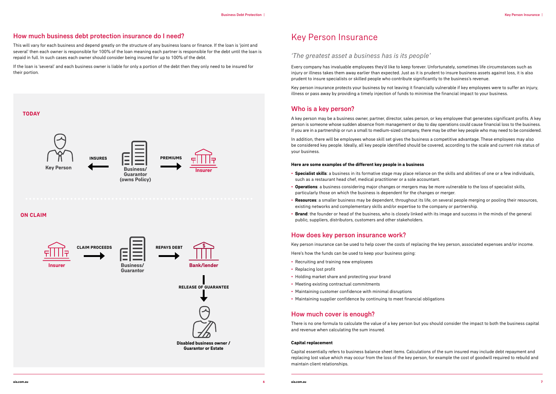#### How much business debt protection insurance do I need?

This will vary for each business and depend greatly on the structure of any business loans or finance. If the loan is 'joint and several' then each owner is responsible for 100% of the loan meaning each partner is responsible for the debt until the loan is repaid in full. In such cases each owner should consider being insured for up to 100% of the debt.

If the loan is 'several' and each business owner is liable for only a portion of the debt then they only need to be insured for their portion.

## Key Person Insurance

#### *'The greatest asset a business has is its people'*

Every company has invaluable employees they'd like to keep forever. Unfortunately, sometimes life circumstances such as injury or illness takes them away earlier than expected. Just as it is prudent to insure business assets against loss, it is also prudent to insure specialists or skilled people who contribute significantly to the business's revenue.

Key person insurance protects your business by not leaving it financially vulnerable if key employees were to suffer an injury, illness or pass away by providing a timely injection of funds to minimise the financial impact to your business.

#### Who is a key person?

A key person may be a business owner, partner, director, sales person, or key employee that generates significant profits. A key person is someone whose sudden absence from management or day to day operations could cause financial loss to the business. If you are in a partnership or run a small to medium-sized company, there may be other key people who may need to be considered.

In addition, there will be employees whose skill set gives the business a competitive advantage. These employees may also be considered key people. Ideally, all key people identified should be covered, according to the scale and current risk status of your business.

#### **Here are some examples of the different key people in a business**

- **Specialist skills**: a business in its formative stage may place reliance on the skills and abilities of one or a few individuals, such as a restaurant head chef, medical practitioner or a sole accountant.
- **Operations**: a business considering major changes or mergers may be more vulnerable to the loss of specialist skills, particularly those on which the business is dependent for the changes or merger.
- **Resources**: a smaller business may be dependent, throughout its life, on several people merging or pooling their resources, existing networks and complementary skills and/or expertise to the company or partnership.
- **Brand**: the founder or head of the business, who is closely linked with its image and success in the minds of the general public, suppliers, distributors, customers and other stakeholders.

#### How does key person insurance work?

Key person insurance can be used to help cover the costs of replacing the key person, associated expenses and/or income.

Here's how the funds can be used to keep your business going:

- Recruiting and training new employees
- Replacing lost profit
- Holding market share and protecting your brand
- Meeting existing contractual commitments
- Maintaining customer confidence with minimal disruptions
- Maintaining supplier confidence by continuing to meet financial obligations

#### How much cover is enough?

There is no one formula to calculate the value of a key person but you should consider the impact to both the business capital and revenue when calculating the sum insured.

#### **Capital replacement**

Capital essentially refers to business balance sheet items. Calculations of the sum insured may include debt repayment and replacing lost value which may occur from the loss of the key person, for example the cost of goodwill required to rebuild and maintain client relationships.

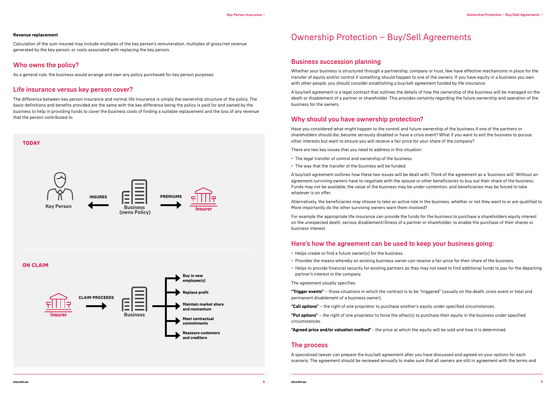#### **Revenue replacement**

Calculation of the sum insured may include multiples of the key person's remuneration, multiples of gross/net revenue generated by the key person, or costs associated with replacing the key person.

#### Who owns the policy?

As a general rule, the business would arrange and own any policy purchased for key person purposes.

#### Life insurance versus key person cover?

The difference between key person insurance and normal life insurance is simply the ownership structure of the policy. The basic definitions and benefits provided are the same with the key difference being the policy is paid for and owned by the business to help in providing funds to cover the business costs of finding a suitable replacement and the loss of any revenue that the person contributed to.

## Ownership Protection – Buy/Sell Agreements

#### Business succession planning

Whether your business is structured through a partnership, company or trust, few have effective mechanisms in place for the transfer of equity and/or control if something should happen to one of the owners. If you have equity in a business you own with other people, you should consider establishing a buy/sell agreement funded by life insurance.

A buy/sell agreement is a legal contract that outlines the details of how the ownership of the business will be managed on the death or disablement of a partner or shareholder. This provides certainty regarding the future ownership and operation of the business for the owners.

#### Why should you have ownership protection?

Have you considered what might happen to the control and future ownership of the business if one of the partners or shareholders should die, become seriously disabled or have a crisis event? What if you want to exit the business to pursue other interests but want to ensure you will receive a fair price for your share of the company?

There are two key issues that you need to address in this situation:

- The legal transfer of control and ownership of the business
- The way that the transfer of the business will be funded

A buy/sell agreement outlines how these two issues will be dealt with. Think of the agreement as a 'business will'. Without an agreement surviving owners have to negotiate with the spouse or other beneficiaries to buy out their share of the business. Funds may not be available, the value of the business may be under contention, and beneficiaries may be forced to take whatever is on offer.

Alternatively, the beneficiaries may choose to take an active role in the business, whether or not they want to or are qualified to. More importantly do the other surviving owners want them involved?

For example the appropriate life insurance can provide the funds for the business to purchase a shareholders equity interest on the unexpected death, serious disablement/illness of a partner or shareholder, to enable the purchase of their shares or business interest.

#### Here's how the agreement can be used to keep your business going:

- Helps create or find a future owner(s) for the business.
- Provides the means whereby an existing business owner can receive a fair price for their share of the business.
- Helps to provide financial security for existing partners as they may not need to find additional funds to pay for the departing partner's interest in the company.

The agreement usually specifies:

**"Trigger events"** – those situations in which the contract is to be "triggered" (usually on the death, crisis event or total and permanent disablement of a business owner).

**"Call options"** – the right of one proprietor to purchase another's equity under specified circumstances.

**"Put options"** – the right of one proprietor to force the other(s) to purchase their equity in the business under specified circumstances.

**"Agreed price and/or valuation method"** - the price at which the equity will be sold and how it is determined.

#### The process

A specialised lawyer can prepare the buy/sell agreement after you have discussed and agreed on your options for each scenario. The agreement should be reviewed annually to make sure that all owners are still in agreement with the terms and

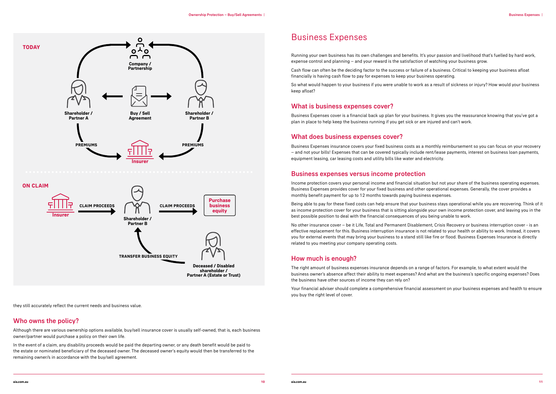- 
- 
- 

- 
- 
- 

they still accurately reflect the current needs and business value.

#### Who owns the policy?

Although there are various ownership options available, buy/sell insurance cover is usually self-owned, that is, each business owner/partner would purchase a policy on their own life.

In the event of a claim, any disability proceeds would be paid the departing owner, or any death benefit would be paid to the estate or nominated beneficiary of the deceased owner. The deceased owner's equity would then be transferred to the remaining owner/s in accordance with the buy/sell agreement.

## Business Expenses

Running your own business has its own challenges and benefits. It's your passion and livelihood that's fuelled by hard work, expense control and planning – and your reward is the satisfaction of watching your business grow.

Cash flow can often be the deciding factor to the success or failure of a business. Critical to keeping your business afloat financially is having cash flow to pay for expenses to keep your business operating.

So what would happen to your business if you were unable to work as a result of sickness or injury? How would your business keep afloat?

#### What is business expenses cover?

Business Expenses cover is a financial back up plan for your business. It gives you the reassurance knowing that you've got a plan in place to help keep the business running if you get sick or are injured and can't work.

#### What does business expenses cover?

Business Expenses insurance covers your fixed business costs as a monthly reimbursement so you can focus on your recovery – and not your bills! Expenses that can be covered typically include rent/lease payments, interest on business loan payments, equipment leasing, car leasing costs and utility bills like water and electricity.

#### Business expenses versus income protection

Income protection covers your personal income and financial situation but not your share of the business operating expenses. Business Expenses provides cover for your fixed business and other operational expenses. Generally, the cover provides a monthly benefit payment for up to 12 months towards paying business expenses.

Being able to pay for these fixed costs can help ensure that your business stays operational while you are recovering. Think of it as income protection cover for your business that is sitting alongside your own income protection cover, and leaving you in the best possible position to deal with the financial consequences of you being unable to work.

No other insurance cover – be it Life, Total and Permanent Disablement, Crisis Recovery or business interruption cover - is an effective replacement for this. Business interruption insurance is not related to your health or ability to work. Instead, it covers you for external events that may bring your business to a stand still like fire or flood. Business Expenses Insurance is directly related to you meeting your company operating costs.

#### How much is enough?

The right amount of business expenses insurance depends on a range of factors. For example, to what extent would the business owner's absence affect their ability to meet expenses? And what are the business's specific ongoing expenses? Does the business have other sources of income they can rely on?

Your financial adviser should complete a comprehensive financial assessment on your business expenses and health to ensure you buy the right level of cover.

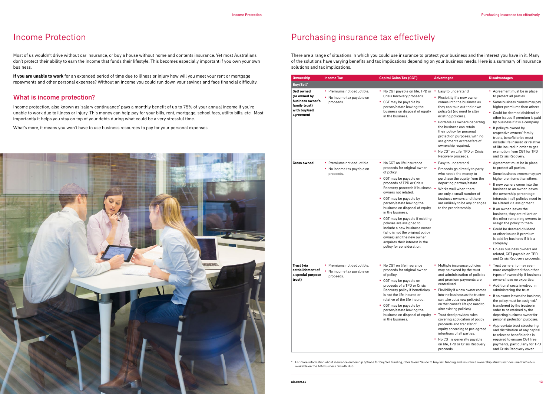

## Purchasing insurance tax effectively

There are a range of situations in which you could use insurance to protect your business and the interest you have in it. Many of the solutions have varying benefits and tax implications depending on your business needs. Here is a summary of insurance solutions and tax implications.

| <b>Ownership</b>                                                                              | <b>Income Tax</b>                                                     | <b>Capital Gains Tax (CGT)</b>                                                                                                                                                                                                                                                                                                                                                                                                                                                                                                         | <b>Advantages</b>                                                                                                                                                                                                                                                                                                                                                                                                                                                                                                                                                          | <b>Disadvantages</b>                                                                                                                                                                                                                                                                                                                                                                                                                                                                                                                                                                                                            |
|-----------------------------------------------------------------------------------------------|-----------------------------------------------------------------------|----------------------------------------------------------------------------------------------------------------------------------------------------------------------------------------------------------------------------------------------------------------------------------------------------------------------------------------------------------------------------------------------------------------------------------------------------------------------------------------------------------------------------------------|----------------------------------------------------------------------------------------------------------------------------------------------------------------------------------------------------------------------------------------------------------------------------------------------------------------------------------------------------------------------------------------------------------------------------------------------------------------------------------------------------------------------------------------------------------------------------|---------------------------------------------------------------------------------------------------------------------------------------------------------------------------------------------------------------------------------------------------------------------------------------------------------------------------------------------------------------------------------------------------------------------------------------------------------------------------------------------------------------------------------------------------------------------------------------------------------------------------------|
| <b>Buy/Sell*</b>                                                                              |                                                                       |                                                                                                                                                                                                                                                                                                                                                                                                                                                                                                                                        |                                                                                                                                                                                                                                                                                                                                                                                                                                                                                                                                                                            |                                                                                                                                                                                                                                                                                                                                                                                                                                                                                                                                                                                                                                 |
| Self owned<br>(or owned by<br>business owner's<br>family trust)<br>with buy/sell<br>agreement | • Premiums not deductible.<br>• No income tax payable on<br>proceeds. | • No CGT payable on life, TPD or<br>Crisis Recovery proceeds.<br>• CGT may be payable by<br>person/estate leaving the<br>business on disposal of equity<br>in the business.                                                                                                                                                                                                                                                                                                                                                            | Easy to understand.<br>• Flexibility if a new owner<br>comes into the business as<br>they can take out their own<br>policy(s) (no need to alter<br>existing policies).<br>• Portable as owners departing<br>the business can retain<br>their policy for personal<br>protection purposes, with no<br>assignments or transfers of<br>ownership required.<br>• No CGT on Life, TPD or Crisis<br>Recovery proceeds.                                                                                                                                                            | • Agreement must be in place<br>to protect all parties.<br>• Some business owners may pay<br>higher premiums than others.<br>• Could be deemed dividend or<br>other issues if premium is paid<br>by business if it is a company.<br>• If policy/s owned by<br>respective owners' family<br>trusts, beneficiaries must<br>include life insured or relative<br>of life insured in order to get<br>exemption from CGT for TPD<br>and Crisis Recovery.                                                                                                                                                                              |
| <b>Cross owned</b>                                                                            | • Premiums not deductible.<br>• No income tax payable on<br>proceeds. | • No CGT on life insurance<br>proceeds for original owner<br>of policy.<br>• CGT may be payable on<br>proceeds of TPD or Crisis<br>Recovery proceeds if business<br>owners not related.<br>• CGT may be payable by<br>person/estate leaving the<br>business on disposal of equity<br>in the business.<br>CGT may be payable if existing<br>٠<br>policies are assigned to<br>include a new business owner<br>(who is not the original policy<br>owner) and the new owner<br>acquires their interest in the<br>policy for consideration. | • Easy to understand.<br>• Proceeds go directly to party<br>who needs the money to<br>purchase the equity from the<br>departing partner/estate.<br>Works well when there<br>are only a small number of<br>business owners and there<br>are unlikely to be any changes<br>to the proprietorship.                                                                                                                                                                                                                                                                            | • Agreement must be in place<br>to protect all parties.<br>• Some business owners may pay<br>higher premiums than others.<br>• If new owners come into the<br>business or an owner leaves.<br>the ownership percentage<br>interests in all policies need to<br>be altered via assignment.<br>• If an owner leaves the<br>business, they are reliant on<br>the other remaining owners to<br>assign the policy to them.<br>• Could be deemed dividend<br>or other issues if premium<br>is paid by business if it is a<br>company.<br>• Unless business owners are<br>related, CGT payable on TPD<br>and Crisis Recovery proceeds. |
| Trust (via<br>establishment of<br>a special purpose<br>trust)                                 | • Premiums not deductible.<br>• No income tax payable on<br>proceeds. | • No CGT on life insurance<br>proceeds for original owner<br>of policy.<br>• CGT may be payable on<br>proceeds of a TPD or Crisis<br>Recovery policy if beneficiary<br>is not the life insured or<br>relative of the life insured.<br>• CGT may be payable by<br>person/estate leaving the<br>business on disposal of equity<br>in the business.                                                                                                                                                                                       | • Multiple insurance policies<br>may be owned by the trust<br>and administration of policies<br>and premium payments are<br>centralised.<br>Flexibility if a new owner comes<br>into the business as the trustee<br>can take out a new policy(s)<br>on that owner's life (no need to<br>alter existing policies).<br>Trust deed provides rules<br>$\bullet$<br>covering application of policy<br>proceeds and transfer of<br>equity according to pre-agreed<br>intentions of all parties.<br>• No CGT is generally payable<br>on life, TPD or Crisis Recovery<br>proceeds. | • Trust ownership may seem<br>more complicated than other<br>types of ownership if business<br>owners have no expertise.<br>Additional costs involved in<br>administering the trust.<br>• If an owner leaves the business,<br>the policy must be assigned/<br>transferred by the trustee in<br>order to be retained by the<br>departing business owner for<br>personal protection purposes.<br>• Appropriate trust structuring<br>and distribution of any capital<br>to relevant beneficiaries is<br>required to ensure CGT free<br>payments, particularly for TPD<br>and Crisis Recovery cover.                                |

\* For more information about insurance ownership options for buy/sell funding, refer to our "Guide to buy/sell funding and insurance ownership structures" document which is available on the AIA Business Growth Hub.

## Income Protection

Most of us wouldn't drive without car insurance, or buy a house without home and contents insurance. Yet most Australians don't protect their ability to earn the income that funds their lifestyle. This becomes especially important if you own your own business.

**If you are unable to work** for an extended period of time due to illness or injury how will you meet your rent or mortgage repayments and other personal expenses? Without an income you could run down your savings and face financial difficulty.

#### What is income protection?

Income protection, also known as 'salary continuance' pays a monthly benefit of up to 75% of your annual income if you're unable to work due to illness or injury. This money can help pay for your bills, rent, mortgage, school fees, utility bills, etc. Most importantly it helps you stay on top of your debts during what could be a very stressful time.

What's more, it means you won't have to use business resources to pay for your personal expenses.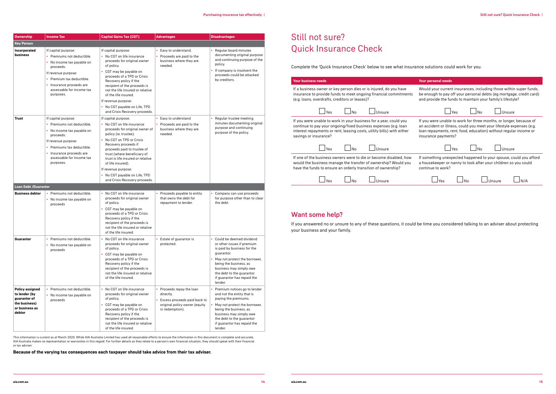| <b>Ownership</b>                                                                                     | <b>Income Tax</b>                                                                                                                                                                                                   | <b>Capital Gains Tax (CGT)</b>                                                                                                                                                                                                                                                                                                                                                     | <b>Advantages</b>                                                                                                                       | <b>Disadvantages</b>                                                                                                                                                                                                                                               |
|------------------------------------------------------------------------------------------------------|---------------------------------------------------------------------------------------------------------------------------------------------------------------------------------------------------------------------|------------------------------------------------------------------------------------------------------------------------------------------------------------------------------------------------------------------------------------------------------------------------------------------------------------------------------------------------------------------------------------|-----------------------------------------------------------------------------------------------------------------------------------------|--------------------------------------------------------------------------------------------------------------------------------------------------------------------------------------------------------------------------------------------------------------------|
| <b>Key Person</b>                                                                                    |                                                                                                                                                                                                                     |                                                                                                                                                                                                                                                                                                                                                                                    |                                                                                                                                         |                                                                                                                                                                                                                                                                    |
| Incorporated<br>business                                                                             | If capital purpose:<br>• Premiums not deductible.<br>• No income tax payable on                                                                                                                                     | If capital purpose:<br>• No CGT on life insurance<br>proceeds for original owner                                                                                                                                                                                                                                                                                                   | • Easy to understand.<br>• Proceeds are paid to the<br>business where they are                                                          | • Regular board minutes<br>documenting original purpose<br>and continuing purpose of the                                                                                                                                                                           |
|                                                                                                      | proceeds.<br>If revenue purpose:<br>• Premium tax deductible.<br>Insurance proceeds are<br>assessable for income tax<br>purposes.                                                                                   | of policy.<br>• CGT may be payable on<br>proceeds of a TPD or Crisis<br>Recovery policy if the<br>recipient of the proceeds is<br>not the life insured or relative<br>of the life insured.<br>If revenue purpose:<br>• No CGT payable on Life, TPD<br>and Crisis Recovery proceeds.                                                                                                | needed.                                                                                                                                 | policy.<br>• If company is insolvent the<br>proceeds could be attacked<br>by creditors.                                                                                                                                                                            |
| <b>Trust</b>                                                                                         | If capital purpose:<br>• Premiums not deductible.<br>No income tax payable on<br>proceeds.<br>If revenue purpose:<br>• Premiums tax deductible.<br>Insurance proceeds are<br>assessable for income tax<br>purposes. | If capital purpose:<br>• No CGT on life insurance<br>proceeds for original owner of<br>policy (ie. trustee).<br>• No CGT on TPD or Crisis<br>Recovery proceeds if<br>proceeds paid to trustee of<br>trust (where beneficiary of<br>trust is life insured or relative<br>of life insured).<br>If revenue purpose:<br>• No CGT payable on Life, TPD<br>and Crisis Recovery proceeds. | • Easy to understand<br>• Proceeds are paid to the<br>business where they are<br>needed.                                                | Regular trustee meeting<br>minutes documenting original<br>purpose and continuing<br>purpose of the policy.                                                                                                                                                        |
| <b>Loan Debt /Guarantor</b>                                                                          |                                                                                                                                                                                                                     |                                                                                                                                                                                                                                                                                                                                                                                    |                                                                                                                                         |                                                                                                                                                                                                                                                                    |
| <b>Business debtor</b>                                                                               | • Premiums not deductible.<br>• No income tax payable on<br>proceeds                                                                                                                                                | • No CGT on life insurance<br>proceeds for original owner<br>of policy.<br>• CGT may be payable on<br>proceeds of a TPD or Crisis<br>Recovery policy if the<br>recipient of the proceeds is<br>not the life insured or relative<br>of the life insured.                                                                                                                            | • Proceeds payable to entity<br>that owns the debt for<br>repayment to lender.                                                          | • Company can use proceeds<br>for purpose other than to clear<br>the debt.                                                                                                                                                                                         |
| Guarantor                                                                                            | Premiums not deductible.<br>No income tax payable on<br>proceeds                                                                                                                                                    | No CGT on life insurance<br>proceeds for original owner<br>of policy.<br>CGT may be payable on<br>٠<br>proceeds of a TPD or Crisis<br>Recovery policy if the<br>recipient of the proceeds is<br>not the life insured or relative<br>of the life insured.                                                                                                                           | • Estate of guarantor is<br>protected.                                                                                                  | • Could be deemed dividend<br>or other issues if premium<br>is paid by business for the<br>guarantor.<br>May not protect the borrower,<br>being the business, as<br>business may simply owe<br>the debt to the guarantor<br>if guarantor has repaid the<br>lender. |
| <b>Policy assigned</b><br>to lender (by<br>guarantor of<br>the business)<br>or business as<br>debtor | • Premiums not deductible.<br>• No income tax payable on<br>proceeds                                                                                                                                                | • No CGT on life insurance<br>proceeds for original owner<br>of policy.<br>• CGT may be payable on<br>proceeds of a TPD or Crisis<br>Recovery policy if the<br>recipient of the proceeds is<br>not the life insured or relative<br>of the life insured.                                                                                                                            | • Proceeds repay the loan<br>directly.<br>Excess proceeds paid back to<br>$\bullet$<br>original policy owner (equity<br>in redemption). | Premium notices go to lender<br>and not the entity that is<br>paying the premiums.<br>May not protect the borrower,<br>being the business, as<br>business may simply owe<br>the debt to the guarantor<br>if guarantor has repaid the<br>lender.                    |

| <b>Your business needs</b>                                             | <b>Your personal needs</b>                                           |  |  |
|------------------------------------------------------------------------|----------------------------------------------------------------------|--|--|
| If a business owner or key person dies or is injured, do you have      | Would your current insurances, including those within super funds,   |  |  |
| insurance to provide funds to meet ongoing financial commitments       | be enough to pay off your personal debts (eg mortgage, credit card)  |  |  |
| (e.g. loans, overdrafts, creditors or leases)?                         | and provide the funds to maintain your family's lifestyle?           |  |  |
| No                                                                     | Yes                                                                  |  |  |
| Yes                                                                    | No                                                                   |  |  |
| Unsure                                                                 | Unsure                                                               |  |  |
| If you were unable to work in your business for a year, could you      | If you were unable to work for three months, or longer, because of   |  |  |
| continue to pay your ongoing/fixed business expenses (e.g. loan        | an accident or illness, could you meet your lifestyle expenses (e.g. |  |  |
| interest repayments or rent, leasing costs, utility bills) with either | loan repayments, rent, food, education) without regular income or    |  |  |
| savings or insurance?                                                  | insurance payments?                                                  |  |  |
| N <sub>0</sub>                                                         | Yes                                                                  |  |  |
| Yes                                                                    | No                                                                   |  |  |
| Unsure                                                                 | Unsure                                                               |  |  |
| If one of the business owners were to die or become disabled, how      | If something unexpected happened to your spouse, could you afford    |  |  |
| would the business manage the transfer of ownership? Would you         | a housekeeper or nanny to look after your children so you could      |  |  |
| have the funds to ensure an orderly transition of ownership?           | continue to work?                                                    |  |  |
| Yes                                                                    | Yes                                                                  |  |  |
| No                                                                     | N <sub>0</sub>                                                       |  |  |
| Hnsure                                                                 | Unsure                                                               |  |  |

This information is current as at March 2020. While AIA Australia Limited has used all reasonable efforts to ensure the information in this document is complete and accurate, AIA Australia makes no representation or warranties in this regard. For further details as they relate to a person's own financial situation, they should speak with their financial or tax adviser.

**Because of the varying tax consequences each taxpayer should take advice from their tax adviser.**

## Still not sure? Quick Insurance Check

Complete the 'Quick Insurance Check' below to see what insurance solutions could work for you.

#### Want some help?

If you answered no or unsure to any of these questions, it could be time you considered talking to an adviser about protecting your business and your family.